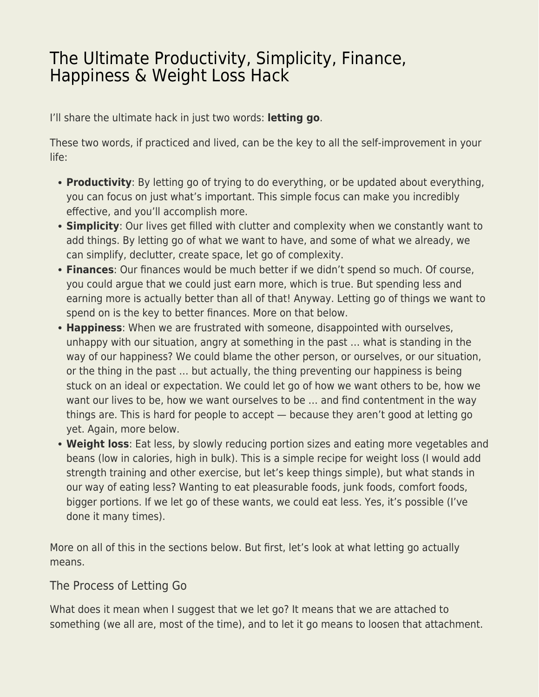# [The Ultimate Productivity, Simplicity, Finance,](https://everything-voluntary.com/ultimate-productivity-simplicity-finance-happiness-weight-loss-hack) [Happiness & Weight Loss Hack](https://everything-voluntary.com/ultimate-productivity-simplicity-finance-happiness-weight-loss-hack)

I'll share the ultimate hack in just two words: **letting go**.

These two words, if practiced and lived, can be the key to all the self-improvement in your life:

- **Productivity**: By letting go of trying to do everything, or be updated about everything, you can focus on just what's important. This simple focus can make you incredibly effective, and you'll accomplish more.
- **Simplicity**: Our lives get filled with clutter and complexity when we constantly want to add things. By letting go of what we want to have, and some of what we already, we can simplify, declutter, create space, let go of complexity.
- **Finances**: Our finances would be much better if we didn't spend so much. Of course, you could argue that we could just earn more, which is true. But spending less and earning more is actually better than all of that! Anyway. Letting go of things we want to spend on is the key to better finances. More on that below.
- **Happiness**: When we are frustrated with someone, disappointed with ourselves, unhappy with our situation, angry at something in the past … what is standing in the way of our happiness? We could blame the other person, or ourselves, or our situation, or the thing in the past … but actually, the thing preventing our happiness is being stuck on an ideal or expectation. We could let go of how we want others to be, how we want our lives to be, how we want ourselves to be … and find contentment in the way things are. This is hard for people to accept — because they aren't good at letting go yet. Again, more below.
- **Weight loss**: Eat less, by slowly reducing portion sizes and eating more vegetables and beans (low in calories, high in bulk). This is a simple recipe for weight loss (I would add strength training and other exercise, but let's keep things simple), but what stands in our way of eating less? Wanting to eat pleasurable foods, junk foods, comfort foods, bigger portions. If we let go of these wants, we could eat less. Yes, it's possible (I've done it many times).

More on all of this in the sections below. But first, let's look at what letting go actually means.

## The Process of Letting Go

What does it mean when I suggest that we let go? It means that we are attached to something (we all are, most of the time), and to let it go means to loosen that attachment.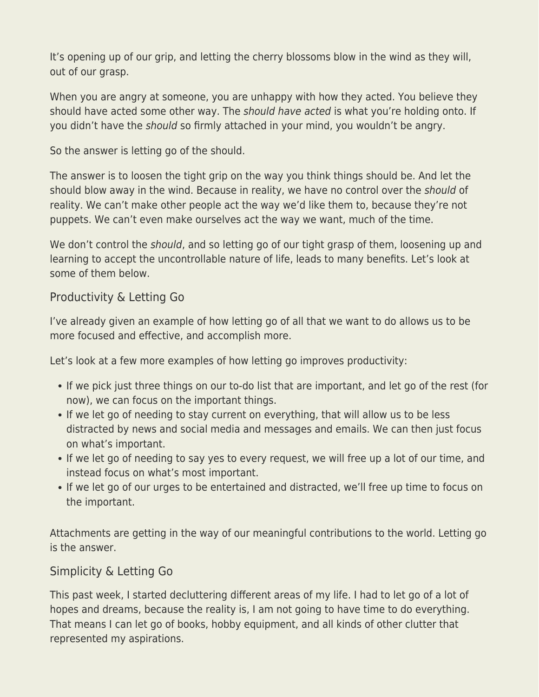It's opening up of our grip, and letting the cherry blossoms blow in the wind as they will, out of our grasp.

When you are angry at someone, you are unhappy with how they acted. You believe they should have acted some other way. The should have acted is what you're holding onto. If you didn't have the should so firmly attached in your mind, you wouldn't be angry.

So the answer is letting go of the should.

The answer is to loosen the tight grip on the way you think things should be. And let the should blow away in the wind. Because in reality, we have no control over the should of reality. We can't make other people act the way we'd like them to, because they're not puppets. We can't even make ourselves act the way we want, much of the time.

We don't control the *should*, and so letting go of our tight grasp of them, loosening up and learning to accept the uncontrollable nature of life, leads to many benefits. Let's look at some of them below.

#### Productivity & Letting Go

I've already given an example of how letting go of all that we want to do allows us to be more focused and effective, and accomplish more.

Let's look at a few more examples of how letting go improves productivity:

- If we pick just three things on our to-do list that are important, and let go of the rest (for now), we can focus on the important things.
- If we let go of needing to stay current on everything, that will allow us to be less distracted by news and social media and messages and emails. We can then just focus on what's important.
- If we let go of needing to say yes to every request, we will free up a lot of our time, and instead focus on what's most important.
- If we let go of our urges to be entertained and distracted, we'll free up time to focus on the important.

Attachments are getting in the way of our meaningful contributions to the world. Letting go is the answer.

## Simplicity & Letting Go

This past week, I started decluttering different areas of my life. I had to let go of a lot of hopes and dreams, because the reality is, I am not going to have time to do everything. That means I can let go of books, hobby equipment, and all kinds of other clutter that represented my aspirations.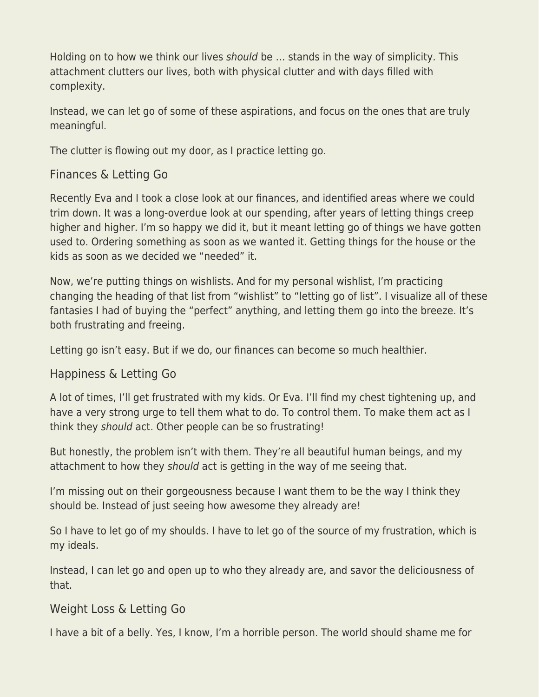Holding on to how we think our lives should be … stands in the way of simplicity. This attachment clutters our lives, both with physical clutter and with days filled with complexity.

Instead, we can let go of some of these aspirations, and focus on the ones that are truly meaningful.

The clutter is flowing out my door, as I practice letting go.

## Finances & Letting Go

Recently Eva and I took a close look at our finances, and identified areas where we could trim down. It was a long-overdue look at our spending, after years of letting things creep higher and higher. I'm so happy we did it, but it meant letting go of things we have gotten used to. Ordering something as soon as we wanted it. Getting things for the house or the kids as soon as we decided we "needed" it.

Now, we're putting things on wishlists. And for my personal wishlist, I'm practicing changing the heading of that list from "wishlist" to "letting go of list". I visualize all of these fantasies I had of buying the "perfect" anything, and letting them go into the breeze. It's both frustrating and freeing.

Letting go isn't easy. But if we do, our finances can become so much healthier.

## Happiness & Letting Go

A lot of times, I'll get frustrated with my kids. Or Eva. I'll find my chest tightening up, and have a very strong urge to tell them what to do. To control them. To make them act as I think they should act. Other people can be so frustrating!

But honestly, the problem isn't with them. They're all beautiful human beings, and my attachment to how they should act is getting in the way of me seeing that.

I'm missing out on their gorgeousness because I want them to be the way I think they should be. Instead of just seeing how awesome they already are!

So I have to let go of my shoulds. I have to let go of the source of my frustration, which is my ideals.

Instead, I can let go and open up to who they already are, and savor the deliciousness of that.

## Weight Loss & Letting Go

I have a bit of a belly. Yes, I know, I'm a horrible person. The world should shame me for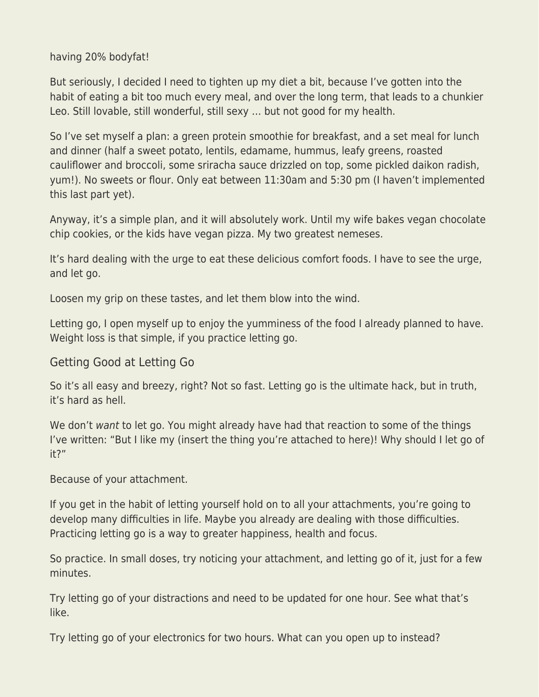having 20% bodyfat!

But seriously, I decided I need to tighten up my diet a bit, because I've gotten into the habit of eating a bit too much every meal, and over the long term, that leads to a chunkier Leo. Still lovable, still wonderful, still sexy … but not good for my health.

So I've set myself a plan: a green protein smoothie for breakfast, and a set meal for lunch and dinner (half a sweet potato, lentils, edamame, hummus, leafy greens, roasted cauliflower and broccoli, some sriracha sauce drizzled on top, some pickled daikon radish, yum!). No sweets or flour. Only eat between 11:30am and 5:30 pm (I haven't implemented this last part yet).

Anyway, it's a simple plan, and it will absolutely work. Until my wife bakes vegan chocolate chip cookies, or the kids have vegan pizza. My two greatest nemeses.

It's hard dealing with the urge to eat these delicious comfort foods. I have to see the urge, and let go.

Loosen my grip on these tastes, and let them blow into the wind.

Letting go, I open myself up to enjoy the yumminess of the food I already planned to have. Weight loss is that simple, if you practice letting go.

## Getting Good at Letting Go

So it's all easy and breezy, right? Not so fast. Letting go is the ultimate hack, but in truth, it's hard as hell.

We don't want to let go. You might already have had that reaction to some of the things I've written: "But I like my (insert the thing you're attached to here)! Why should I let go of it?"

Because of your attachment.

If you get in the habit of letting yourself hold on to all your attachments, you're going to develop many difficulties in life. Maybe you already are dealing with those difficulties. Practicing letting go is a way to greater happiness, health and focus.

So practice. In small doses, try noticing your attachment, and letting go of it, just for a few minutes.

Try letting go of your distractions and need to be updated for one hour. See what that's like.

Try letting go of your electronics for two hours. What can you open up to instead?